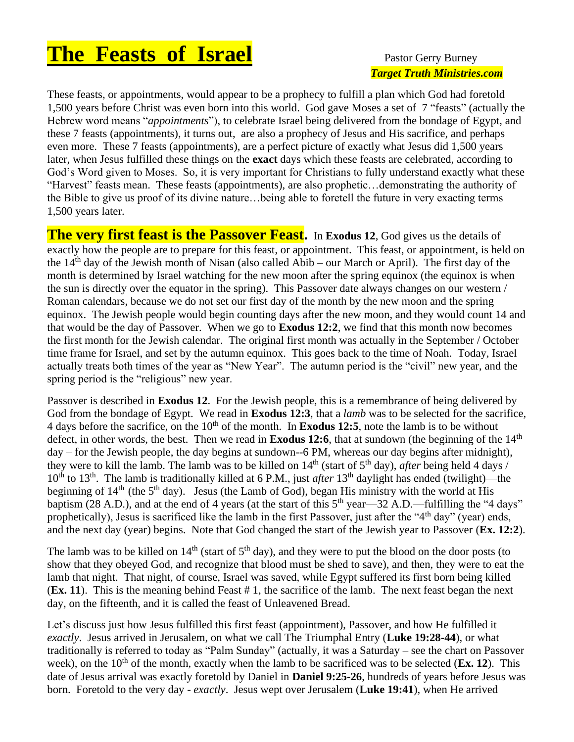## **The Feasts of Israel** Pastor Gerry Burney

# *Target Truth Ministries.com*

These feasts, or appointments, would appear to be a prophecy to fulfill a plan which God had foretold 1,500 years before Christ was even born into this world. God gave Moses a set of 7 "feasts" (actually the Hebrew word means "*appointments*"), to celebrate Israel being delivered from the bondage of Egypt, and these 7 feasts (appointments), it turns out, are also a prophecy of Jesus and His sacrifice, and perhaps even more. These 7 feasts (appointments), are a perfect picture of exactly what Jesus did 1,500 years later, when Jesus fulfilled these things on the **exact** days which these feasts are celebrated, according to God's Word given to Moses. So, it is very important for Christians to fully understand exactly what these "Harvest" feasts mean. These feasts (appointments), are also prophetic…demonstrating the authority of the Bible to give us proof of its divine nature…being able to foretell the future in very exacting terms 1,500 years later.

**The very first feast is the Passover Feast.** In **Exodus 12**, God gives us the details of exactly how the people are to prepare for this feast, or appointment. This feast, or appointment, is held on the 14th day of the Jewish month of Nisan (also called Abib – our March or April). The first day of the month is determined by Israel watching for the new moon after the spring equinox (the equinox is when the sun is directly over the equator in the spring). This Passover date always changes on our western / Roman calendars, because we do not set our first day of the month by the new moon and the spring equinox. The Jewish people would begin counting days after the new moon, and they would count 14 and that would be the day of Passover. When we go to **Exodus 12:2**, we find that this month now becomes the first month for the Jewish calendar. The original first month was actually in the September / October time frame for Israel, and set by the autumn equinox. This goes back to the time of Noah. Today, Israel actually treats both times of the year as "New Year". The autumn period is the "civil" new year, and the spring period is the "religious" new year.

Passover is described in **Exodus 12**. For the Jewish people, this is a remembrance of being delivered by God from the bondage of Egypt. We read in **Exodus 12:3**, that a *lamb* was to be selected for the sacrifice, 4 days before the sacrifice, on the  $10<sup>th</sup>$  of the month. In **Exodus 12:5**, note the lamb is to be without defect, in other words, the best. Then we read in **Exodus 12:6**, that at sundown (the beginning of the  $14<sup>th</sup>$ day – for the Jewish people, the day begins at sundown--6 PM, whereas our day begins after midnight), they were to kill the lamb. The lamb was to be killed on 14th (start of 5th day), *after* being held 4 days / 10th to 13th. The lamb is traditionally killed at 6 P.M., just *after* 13th daylight has ended (twilight)—the beginning of  $14<sup>th</sup>$  (the  $5<sup>th</sup>$  day). Jesus (the Lamb of God), began His ministry with the world at His baptism (28 A.D.), and at the end of 4 years (at the start of this 5<sup>th</sup> year—32 A.D.—fulfilling the "4 days" prophetically), Jesus is sacrificed like the lamb in the first Passover, just after the "4<sup>th</sup> day" (year) ends, and the next day (year) begins. Note that God changed the start of the Jewish year to Passover (**Ex. 12:2**).

The lamb was to be killed on  $14<sup>th</sup>$  (start of  $5<sup>th</sup>$  day), and they were to put the blood on the door posts (to show that they obeyed God, and recognize that blood must be shed to save), and then, they were to eat the lamb that night. That night, of course, Israel was saved, while Egypt suffered its first born being killed (**Ex. 11**). This is the meaning behind Feast # 1, the sacrifice of the lamb. The next feast began the next day, on the fifteenth, and it is called the feast of Unleavened Bread.

Let's discuss just how Jesus fulfilled this first feast (appointment), Passover, and how He fulfilled it *exactly*. Jesus arrived in Jerusalem, on what we call The Triumphal Entry (**Luke 19:28-44**), or what traditionally is referred to today as "Palm Sunday" (actually, it was a Saturday – see the chart on Passover week), on the  $10<sup>th</sup>$  of the month, exactly when the lamb to be sacrificed was to be selected (**Ex. 12**). This date of Jesus arrival was exactly foretold by Daniel in **Daniel 9:25-26**, hundreds of years before Jesus was born. Foretold to the very day - *exactly*. Jesus wept over Jerusalem (**Luke 19:41**), when He arrived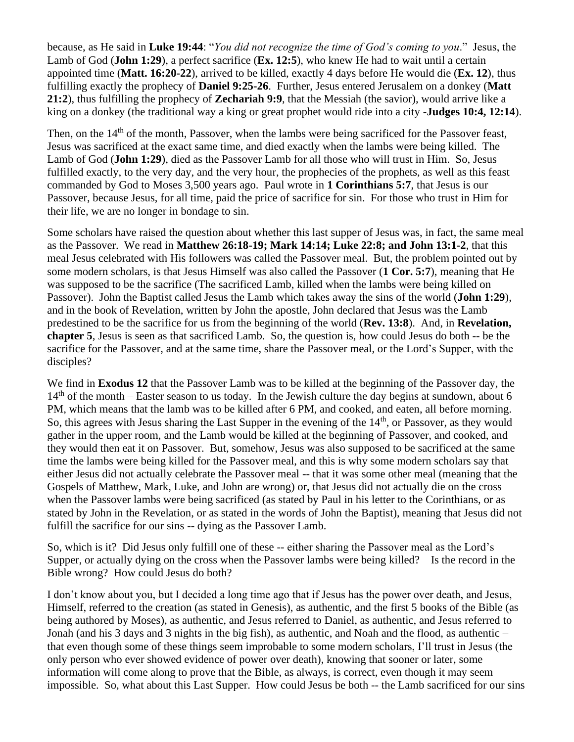because, as He said in **Luke 19:44**: "*You did not recognize the time of God's coming to you*." Jesus, the Lamb of God (**John 1:29**), a perfect sacrifice (**Ex. 12:5**), who knew He had to wait until a certain appointed time (**Matt. 16:20-22**), arrived to be killed, exactly 4 days before He would die (**Ex. 12**), thus fulfilling exactly the prophecy of **Daniel 9:25-26**. Further, Jesus entered Jerusalem on a donkey (**Matt 21:2**), thus fulfilling the prophecy of **Zechariah 9:9**, that the Messiah (the savior), would arrive like a king on a donkey (the traditional way a king or great prophet would ride into a city -**Judges 10:4, 12:14**).

Then, on the 14<sup>th</sup> of the month, Passover, when the lambs were being sacrificed for the Passover feast, Jesus was sacrificed at the exact same time, and died exactly when the lambs were being killed. The Lamb of God (**John 1:29**), died as the Passover Lamb for all those who will trust in Him. So, Jesus fulfilled exactly, to the very day, and the very hour, the prophecies of the prophets, as well as this feast commanded by God to Moses 3,500 years ago. Paul wrote in **1 Corinthians 5:7**, that Jesus is our Passover, because Jesus, for all time, paid the price of sacrifice for sin. For those who trust in Him for their life, we are no longer in bondage to sin.

Some scholars have raised the question about whether this last supper of Jesus was, in fact, the same meal as the Passover. We read in **Matthew 26:18-19; Mark 14:14; Luke 22:8; and John 13:1-2**, that this meal Jesus celebrated with His followers was called the Passover meal. But, the problem pointed out by some modern scholars, is that Jesus Himself was also called the Passover (**1 Cor. 5:7**), meaning that He was supposed to be the sacrifice (The sacrificed Lamb, killed when the lambs were being killed on Passover). John the Baptist called Jesus the Lamb which takes away the sins of the world (**John 1:29**), and in the book of Revelation, written by John the apostle, John declared that Jesus was the Lamb predestined to be the sacrifice for us from the beginning of the world (**Rev. 13:8**). And, in **Revelation, chapter 5**, Jesus is seen as that sacrificed Lamb. So, the question is, how could Jesus do both -- be the sacrifice for the Passover, and at the same time, share the Passover meal, or the Lord's Supper, with the disciples?

We find in **Exodus 12** that the Passover Lamb was to be killed at the beginning of the Passover day, the  $14<sup>th</sup>$  of the month – Easter season to us today. In the Jewish culture the day begins at sundown, about 6 PM, which means that the lamb was to be killed after 6 PM, and cooked, and eaten, all before morning. So, this agrees with Jesus sharing the Last Supper in the evening of the  $14<sup>th</sup>$ , or Passover, as they would gather in the upper room, and the Lamb would be killed at the beginning of Passover, and cooked, and they would then eat it on Passover. But, somehow, Jesus was also supposed to be sacrificed at the same time the lambs were being killed for the Passover meal, and this is why some modern scholars say that either Jesus did not actually celebrate the Passover meal -- that it was some other meal (meaning that the Gospels of Matthew, Mark, Luke, and John are wrong) or, that Jesus did not actually die on the cross when the Passover lambs were being sacrificed (as stated by Paul in his letter to the Corinthians, or as stated by John in the Revelation, or as stated in the words of John the Baptist), meaning that Jesus did not fulfill the sacrifice for our sins -- dying as the Passover Lamb.

So, which is it? Did Jesus only fulfill one of these -- either sharing the Passover meal as the Lord's Supper, or actually dying on the cross when the Passover lambs were being killed? Is the record in the Bible wrong? How could Jesus do both?

I don't know about you, but I decided a long time ago that if Jesus has the power over death, and Jesus, Himself, referred to the creation (as stated in Genesis), as authentic, and the first 5 books of the Bible (as being authored by Moses), as authentic, and Jesus referred to Daniel, as authentic, and Jesus referred to Jonah (and his 3 days and 3 nights in the big fish), as authentic, and Noah and the flood, as authentic – that even though some of these things seem improbable to some modern scholars, I'll trust in Jesus (the only person who ever showed evidence of power over death), knowing that sooner or later, some information will come along to prove that the Bible, as always, is correct, even though it may seem impossible. So, what about this Last Supper. How could Jesus be both -- the Lamb sacrificed for our sins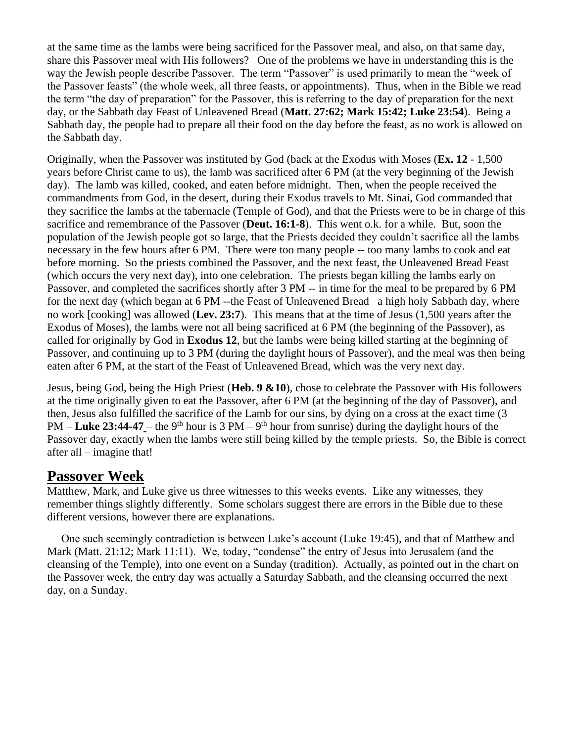at the same time as the lambs were being sacrificed for the Passover meal, and also, on that same day, share this Passover meal with His followers? One of the problems we have in understanding this is the way the Jewish people describe Passover. The term "Passover" is used primarily to mean the "week of the Passover feasts" (the whole week, all three feasts, or appointments). Thus, when in the Bible we read the term "the day of preparation" for the Passover, this is referring to the day of preparation for the next day, or the Sabbath day Feast of Unleavened Bread (**Matt. 27:62; Mark 15:42; Luke 23:54**). Being a Sabbath day, the people had to prepare all their food on the day before the feast, as no work is allowed on the Sabbath day.

Originally, when the Passover was instituted by God (back at the Exodus with Moses (**Ex. 12** - 1,500 years before Christ came to us), the lamb was sacrificed after 6 PM (at the very beginning of the Jewish day). The lamb was killed, cooked, and eaten before midnight. Then, when the people received the commandments from God, in the desert, during their Exodus travels to Mt. Sinai, God commanded that they sacrifice the lambs at the tabernacle (Temple of God), and that the Priests were to be in charge of this sacrifice and remembrance of the Passover (**Deut. 16:1-8**). This went o.k. for a while. But, soon the population of the Jewish people got so large, that the Priests decided they couldn't sacrifice all the lambs necessary in the few hours after 6 PM. There were too many people -- too many lambs to cook and eat before morning. So the priests combined the Passover, and the next feast, the Unleavened Bread Feast (which occurs the very next day), into one celebration. The priests began killing the lambs early on Passover, and completed the sacrifices shortly after 3 PM -- in time for the meal to be prepared by 6 PM for the next day (which began at 6 PM --the Feast of Unleavened Bread –a high holy Sabbath day, where no work [cooking] was allowed (**Lev. 23:7**). This means that at the time of Jesus (1,500 years after the Exodus of Moses), the lambs were not all being sacrificed at 6 PM (the beginning of the Passover), as called for originally by God in **Exodus 12**, but the lambs were being killed starting at the beginning of Passover, and continuing up to 3 PM (during the daylight hours of Passover), and the meal was then being eaten after 6 PM, at the start of the Feast of Unleavened Bread, which was the very next day.

Jesus, being God, being the High Priest (**Heb. 9 &10**), chose to celebrate the Passover with His followers at the time originally given to eat the Passover, after 6 PM (at the beginning of the day of Passover), and then, Jesus also fulfilled the sacrifice of the Lamb for our sins, by dying on a cross at the exact time (3  $PM$  – **Luke 23:44-47** – the 9<sup>th</sup> hour is 3 PM – 9<sup>th</sup> hour from sunrise) during the daylight hours of the Passover day, exactly when the lambs were still being killed by the temple priests. So, the Bible is correct after all – imagine that!

#### **Passover Week**

Matthew, Mark, and Luke give us three witnesses to this weeks events. Like any witnesses, they remember things slightly differently. Some scholars suggest there are errors in the Bible due to these different versions, however there are explanations.

 One such seemingly contradiction is between Luke's account (Luke 19:45), and that of Matthew and Mark (Matt. 21:12; Mark 11:11). We, today, "condense" the entry of Jesus into Jerusalem (and the cleansing of the Temple), into one event on a Sunday (tradition). Actually, as pointed out in the chart on the Passover week, the entry day was actually a Saturday Sabbath, and the cleansing occurred the next day, on a Sunday.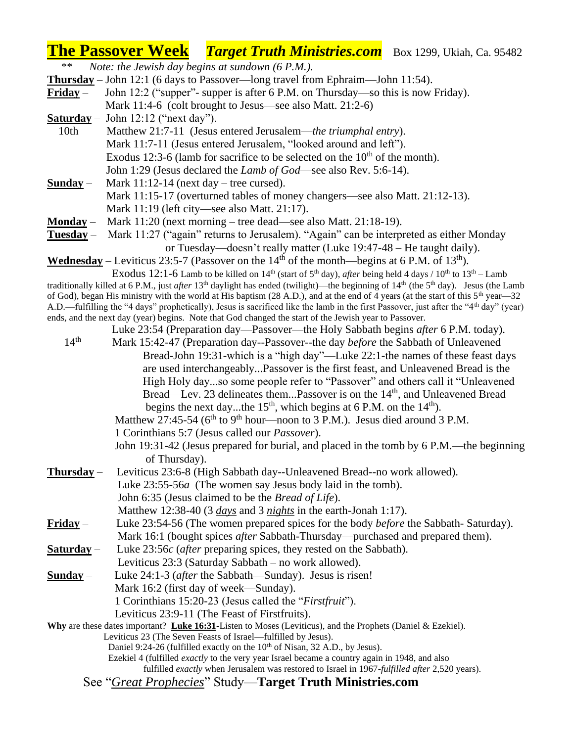### **The Passover Week** *Target Truth Ministries.com* Box 1299, Ukiah, Ca. 95482

| $***$                                                                     | <i>Note: the Jewish day begins at sundown <math>(6 P.M.)</math>.</i>                                                                                                   |
|---------------------------------------------------------------------------|------------------------------------------------------------------------------------------------------------------------------------------------------------------------|
|                                                                           | <b>Thursday</b> – John 12:1 (6 days to Passover—long travel from Ephraim—John 11:54).                                                                                  |
| $Friday -$                                                                | John 12:2 ("supper"- supper is after 6 P.M. on Thursday—so this is now Friday).                                                                                        |
|                                                                           | Mark 11:4-6 (colt brought to Jesus—see also Matt. 21:2-6)                                                                                                              |
|                                                                           | <b><u>Saturday</u></b> – John 12:12 ("next day").                                                                                                                      |
| 10 <sub>th</sub>                                                          | Matthew 21:7-11 (Jesus entered Jerusalem—the triumphal entry).                                                                                                         |
|                                                                           | Mark 11:7-11 (Jesus entered Jerusalem, "looked around and left").                                                                                                      |
|                                                                           | Exodus 12:3-6 (lamb for sacrifice to be selected on the $10th$ of the month).                                                                                          |
|                                                                           | John 1:29 (Jesus declared the <i>Lamb of God</i> —see also Rev. 5:6-14).                                                                                               |
| $Sunday -$                                                                | Mark $11:12-14$ (next day – tree cursed).                                                                                                                              |
|                                                                           | Mark 11:15-17 (overturned tables of money changers—see also Matt. 21:12-13).                                                                                           |
|                                                                           | Mark 11:19 (left city—see also Matt. 21:17).                                                                                                                           |
| $Monday -$                                                                | Mark 11:20 (next morning – tree dead—see also Matt. 21:18-19).                                                                                                         |
| <u>Tuesday</u> –                                                          | Mark 11:27 ("again" returns to Jerusalem). "Again" can be interpreted as either Monday                                                                                 |
|                                                                           | or Tuesday—doesn't really matter (Luke 19:47-48 – He taught daily).                                                                                                    |
|                                                                           | <b>Wednesday</b> – Leviticus 23:5-7 (Passover on the $14th$ of the month—begins at 6 P.M. of $13th$ ).                                                                 |
|                                                                           | Exodus 12:1-6 Lamb to be killed on 14 <sup>th</sup> (start of 5 <sup>th</sup> day), <i>after</i> being held 4 days / 10 <sup>th</sup> to 13 <sup>th</sup> – Lamb       |
|                                                                           | traditionally killed at 6 P.M., just after 13 <sup>th</sup> daylight has ended (twilight)—the beginning of 14 <sup>th</sup> (the 5 <sup>th</sup> day). Jesus (the Lamb |
|                                                                           | of God), began His ministry with the world at His baptism (28 A.D.), and at the end of 4 years (at the start of this $5th$ year—32                                     |
|                                                                           | A.D.—fulfilling the "4 days" prophetically), Jesus is sacrificed like the lamb in the first Passover, just after the "4 <sup>th</sup> day" (year)                      |
|                                                                           | ends, and the next day (year) begins. Note that God changed the start of the Jewish year to Passover.                                                                  |
| 14 <sup>th</sup>                                                          | Luke 23:54 (Preparation day—Passover—the Holy Sabbath begins <i>after</i> 6 P.M. today).                                                                               |
|                                                                           | Mark 15:42-47 (Preparation day--Passover--the day before the Sabbath of Unleavened                                                                                     |
|                                                                           | Bread-John 19:31-which is a "high day"—Luke 22:1-the names of these feast days                                                                                         |
|                                                                           | are used interchangeablyPassover is the first feast, and Unleavened Bread is the                                                                                       |
|                                                                           | High Holy dayso some people refer to "Passover" and others call it "Unleavened"                                                                                        |
|                                                                           | Bread—Lev. 23 delineates themPassover is on the 14 <sup>th</sup> , and Unleavened Bread                                                                                |
|                                                                           | begins the next daythe 15 <sup>th</sup> , which begins at 6 P.M. on the $14th$ .                                                                                       |
|                                                                           | Matthew 27:45-54 ( $6th$ to $9th$ hour—noon to 3 P.M.). Jesus died around 3 P.M.                                                                                       |
|                                                                           | 1 Corinthians 5:7 (Jesus called our <i>Passover</i> ).                                                                                                                 |
|                                                                           | John 19:31-42 (Jesus prepared for burial, and placed in the tomb by 6 P.M.—the beginning<br>of Thursday).                                                              |
|                                                                           | Leviticus 23:6-8 (High Sabbath day--Unleavened Bread--no work allowed).                                                                                                |
| Thursday $-$                                                              | Luke $23:55-56a$ (The women say Jesus body laid in the tomb).                                                                                                          |
|                                                                           | John 6:35 (Jesus claimed to be the Bread of Life).                                                                                                                     |
|                                                                           | Matthew 12:38-40 (3 $days$ and 3 $nights$ in the earth-Jonah 1:17).                                                                                                    |
| $Friday -$                                                                | Luke 23:54-56 (The women prepared spices for the body <i>before</i> the Sabbath-Saturday).                                                                             |
|                                                                           | Mark 16:1 (bought spices <i>after</i> Sabbath-Thursday—purchased and prepared them).                                                                                   |
| <u>Saturday</u> –                                                         | Luke 23:56c (after preparing spices, they rested on the Sabbath).                                                                                                      |
|                                                                           | Leviticus 23:3 (Saturday Sabbath – no work allowed).                                                                                                                   |
| $Sunday -$                                                                | Luke 24:1-3 ( <i>after</i> the Sabbath—Sunday). Jesus is risen!                                                                                                        |
|                                                                           | Mark 16:2 (first day of week-Sunday).                                                                                                                                  |
|                                                                           | 1 Corinthians 15:20-23 (Jesus called the " <i>Firstfruit</i> ").                                                                                                       |
|                                                                           | Leviticus 23:9-11 (The Feast of First fruits).                                                                                                                         |
|                                                                           | Why are these dates important? Luke 16:31-Listen to Moses (Leviticus), and the Prophets (Daniel & Ezekiel).                                                            |
| Leviticus 23 (The Seven Feasts of Israel—fulfilled by Jesus).             |                                                                                                                                                                        |
|                                                                           | Daniel 9:24-26 (fulfilled exactly on the 10 <sup>th</sup> of Nisan, 32 A.D., by Jesus).                                                                                |
|                                                                           | Ezekiel 4 (fulfilled <i>exactly</i> to the very year Israel became a country again in 1948, and also                                                                   |
|                                                                           | fulfilled exactly when Jerusalem was restored to Israel in 1967-fulfilled after 2,520 years).                                                                          |
| See " <i>Great Prophecies</i> " Study— <b>Target Truth Ministries.com</b> |                                                                                                                                                                        |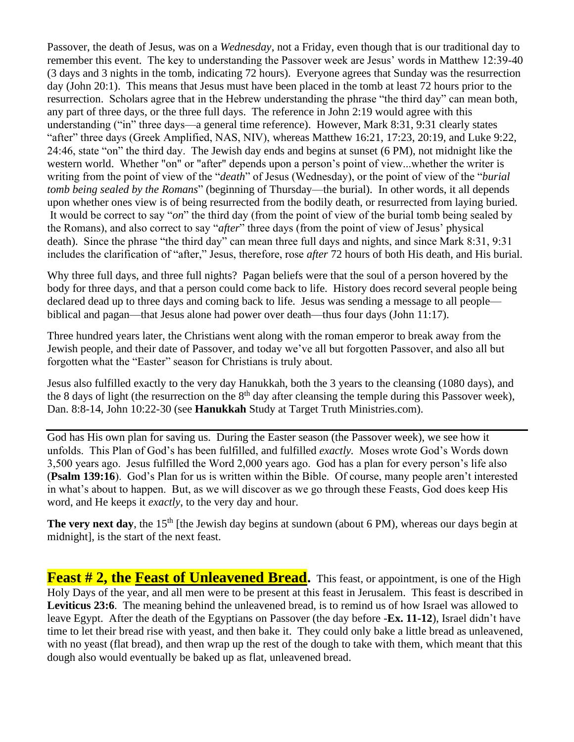Passover, the death of Jesus, was on a *Wednesday*, not a Friday, even though that is our traditional day to remember this event. The key to understanding the Passover week are Jesus' words in Matthew 12:39-40 (3 days and 3 nights in the tomb, indicating 72 hours). Everyone agrees that Sunday was the resurrection day (John 20:1). This means that Jesus must have been placed in the tomb at least 72 hours prior to the resurrection. Scholars agree that in the Hebrew understanding the phrase "the third day" can mean both, any part of three days, or the three full days. The reference in John 2:19 would agree with this understanding ("in" three days—a general time reference). However, Mark 8:31, 9:31 clearly states "after" three days (Greek Amplified, NAS, NIV), whereas Matthew 16:21, 17:23, 20:19, and Luke 9:22, 24:46, state "on" the third day. The Jewish day ends and begins at sunset (6 PM), not midnight like the western world. Whether "on" or "after" depends upon a person's point of view...whether the writer is writing from the point of view of the "*death*" of Jesus (Wednesday), or the point of view of the "*burial tomb being sealed by the Romans*" (beginning of Thursday—the burial). In other words, it all depends upon whether ones view is of being resurrected from the bodily death, or resurrected from laying buried. It would be correct to say "*on*" the third day (from the point of view of the burial tomb being sealed by the Romans), and also correct to say "*after*" three days (from the point of view of Jesus' physical death). Since the phrase "the third day" can mean three full days and nights, and since Mark 8:31, 9:31 includes the clarification of "after," Jesus, therefore, rose *after* 72 hours of both His death, and His burial.

Why three full days, and three full nights? Pagan beliefs were that the soul of a person hovered by the body for three days, and that a person could come back to life. History does record several people being declared dead up to three days and coming back to life. Jesus was sending a message to all people biblical and pagan—that Jesus alone had power over death—thus four days (John 11:17).

Three hundred years later, the Christians went along with the roman emperor to break away from the Jewish people, and their date of Passover, and today we've all but forgotten Passover, and also all but forgotten what the "Easter" season for Christians is truly about.

Jesus also fulfilled exactly to the very day Hanukkah, both the 3 years to the cleansing (1080 days), and the 8 days of light (the resurrection on the 8<sup>th</sup> day after cleansing the temple during this Passover week), Dan. 8:8-14, John 10:22-30 (see **Hanukkah** Study at Target Truth Ministries.com).

God has His own plan for saving us. During the Easter season (the Passover week), we see how it unfolds. This Plan of God's has been fulfilled, and fulfilled *exactly.* Moses wrote God's Words down 3,500 years ago. Jesus fulfilled the Word 2,000 years ago. God has a plan for every person's life also (**Psalm 139:16**). God's Plan for us is written within the Bible. Of course, many people aren't interested in what's about to happen. But, as we will discover as we go through these Feasts, God does keep His word, and He keeps it *exactly*, to the very day and hour.

**The very next day**, the 15<sup>th</sup> [the Jewish day begins at sundown (about 6 PM), whereas our days begin at midnight], is the start of the next feast.

**Feast # 2, the Feast of Unleavened Bread.** This feast, or appointment, is one of the High Holy Days of the year, and all men were to be present at this feast in Jerusalem. This feast is described in **Leviticus 23:6**. The meaning behind the unleavened bread, is to remind us of how Israel was allowed to leave Egypt. After the death of the Egyptians on Passover (the day before -**Ex. 11-12**), Israel didn't have time to let their bread rise with yeast, and then bake it. They could only bake a little bread as unleavened, with no yeast (flat bread), and then wrap up the rest of the dough to take with them, which meant that this dough also would eventually be baked up as flat, unleavened bread.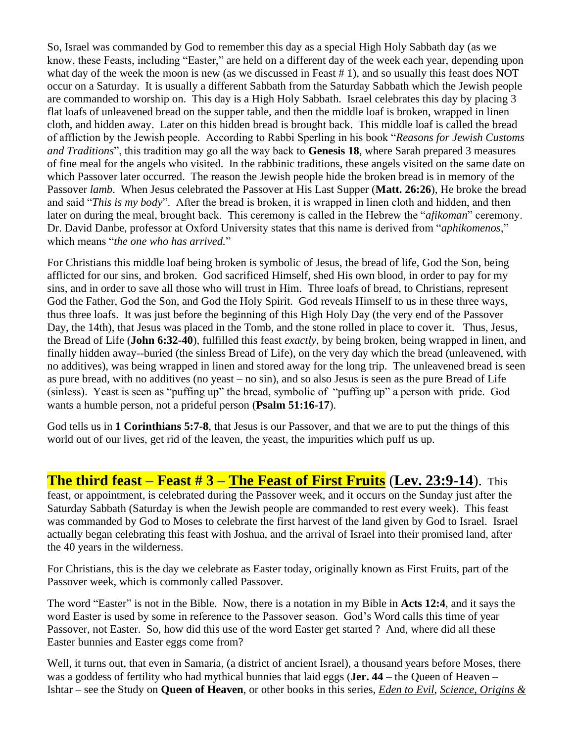So, Israel was commanded by God to remember this day as a special High Holy Sabbath day (as we know, these Feasts, including "Easter," are held on a different day of the week each year, depending upon what day of the week the moon is new (as we discussed in Feast # 1), and so usually this feast does NOT occur on a Saturday. It is usually a different Sabbath from the Saturday Sabbath which the Jewish people are commanded to worship on. This day is a High Holy Sabbath. Israel celebrates this day by placing 3 flat loafs of unleavened bread on the supper table, and then the middle loaf is broken, wrapped in linen cloth, and hidden away. Later on this hidden bread is brought back. This middle loaf is called the bread of affliction by the Jewish people. According to Rabbi Sperling in his book "*Reasons for Jewish Customs and Traditions*", this tradition may go all the way back to **Genesis 18**, where Sarah prepared 3 measures of fine meal for the angels who visited. In the rabbinic traditions, these angels visited on the same date on which Passover later occurred. The reason the Jewish people hide the broken bread is in memory of the Passover *lamb*. When Jesus celebrated the Passover at His Last Supper (**Matt. 26:26**), He broke the bread and said "*This is my body*". After the bread is broken, it is wrapped in linen cloth and hidden, and then later on during the meal, brought back. This ceremony is called in the Hebrew the "*afikoman*" ceremony. Dr. David Danbe, professor at Oxford University states that this name is derived from "*aphikomenos*," which means "*the one who has arrived.*"

For Christians this middle loaf being broken is symbolic of Jesus, the bread of life, God the Son, being afflicted for our sins, and broken. God sacrificed Himself, shed His own blood, in order to pay for my sins, and in order to save all those who will trust in Him. Three loafs of bread, to Christians, represent God the Father, God the Son, and God the Holy Spirit. God reveals Himself to us in these three ways, thus three loafs. It was just before the beginning of this High Holy Day (the very end of the Passover Day, the 14th), that Jesus was placed in the Tomb, and the stone rolled in place to cover it. Thus, Jesus, the Bread of Life (**John 6:32-40**), fulfilled this feast *exactly*, by being broken, being wrapped in linen, and finally hidden away--buried (the sinless Bread of Life), on the very day which the bread (unleavened, with no additives), was being wrapped in linen and stored away for the long trip. The unleavened bread is seen as pure bread, with no additives (no yeast – no sin), and so also Jesus is seen as the pure Bread of Life (sinless). Yeast is seen as "puffing up" the bread, symbolic of "puffing up" a person with pride. God wants a humble person, not a prideful person (**Psalm 51:16-17**).

God tells us in **1 Corinthians 5:7-8**, that Jesus is our Passover, and that we are to put the things of this world out of our lives, get rid of the leaven, the yeast, the impurities which puff us up.

### **The third feast – Feast #3 – The Feast of First Fruits** (Lev. 23:9-14). This

feast, or appointment, is celebrated during the Passover week, and it occurs on the Sunday just after the Saturday Sabbath (Saturday is when the Jewish people are commanded to rest every week). This feast was commanded by God to Moses to celebrate the first harvest of the land given by God to Israel. Israel actually began celebrating this feast with Joshua, and the arrival of Israel into their promised land, after the 40 years in the wilderness.

For Christians, this is the day we celebrate as Easter today, originally known as First Fruits, part of the Passover week, which is commonly called Passover.

The word "Easter" is not in the Bible. Now, there is a notation in my Bible in **Acts 12:4**, and it says the word Easter is used by some in reference to the Passover season. God's Word calls this time of year Passover, not Easter. So, how did this use of the word Easter get started ? And, where did all these Easter bunnies and Easter eggs come from?

Well, it turns out, that even in Samaria, (a district of ancient Israel), a thousand years before Moses, there was a goddess of fertility who had mythical bunnies that laid eggs (**Jer. 44** – the Queen of Heaven – Ishtar – see the Study on **Queen of Heaven**, or other books in this series, *Eden to Evil*, *Science, Origins &*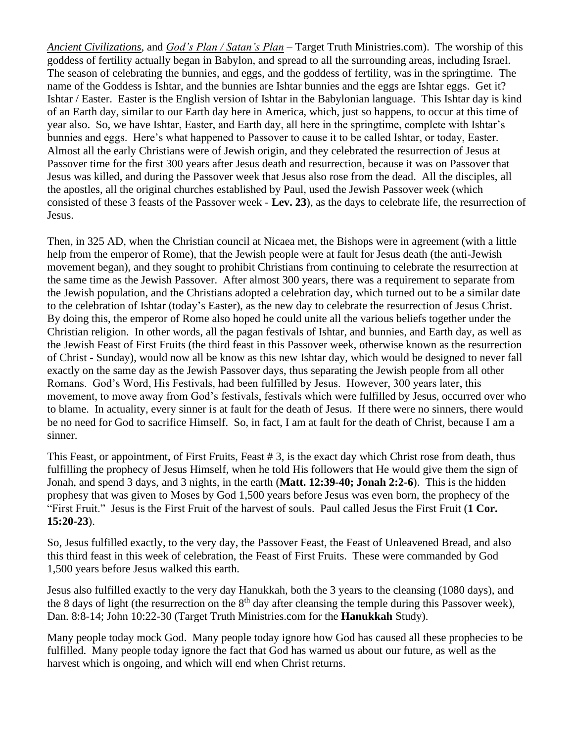*Ancient Civilizations*, and *God's Plan / Satan's Plan* – Target Truth Ministries.com). The worship of this goddess of fertility actually began in Babylon, and spread to all the surrounding areas, including Israel. The season of celebrating the bunnies, and eggs, and the goddess of fertility, was in the springtime. The name of the Goddess is Ishtar, and the bunnies are Ishtar bunnies and the eggs are Ishtar eggs. Get it? Ishtar / Easter. Easter is the English version of Ishtar in the Babylonian language. This Ishtar day is kind of an Earth day, similar to our Earth day here in America, which, just so happens, to occur at this time of year also. So, we have Ishtar, Easter, and Earth day, all here in the springtime, complete with Ishtar's bunnies and eggs. Here's what happened to Passover to cause it to be called Ishtar, or today, Easter. Almost all the early Christians were of Jewish origin, and they celebrated the resurrection of Jesus at Passover time for the first 300 years after Jesus death and resurrection, because it was on Passover that Jesus was killed, and during the Passover week that Jesus also rose from the dead. All the disciples, all the apostles, all the original churches established by Paul, used the Jewish Passover week (which consisted of these 3 feasts of the Passover week - **Lev. 23**), as the days to celebrate life, the resurrection of Jesus.

Then, in 325 AD, when the Christian council at Nicaea met, the Bishops were in agreement (with a little help from the emperor of Rome), that the Jewish people were at fault for Jesus death (the anti-Jewish movement began), and they sought to prohibit Christians from continuing to celebrate the resurrection at the same time as the Jewish Passover. After almost 300 years, there was a requirement to separate from the Jewish population, and the Christians adopted a celebration day, which turned out to be a similar date to the celebration of Ishtar (today's Easter), as the new day to celebrate the resurrection of Jesus Christ. By doing this, the emperor of Rome also hoped he could unite all the various beliefs together under the Christian religion. In other words, all the pagan festivals of Ishtar, and bunnies, and Earth day, as well as the Jewish Feast of First Fruits (the third feast in this Passover week, otherwise known as the resurrection of Christ - Sunday), would now all be know as this new Ishtar day, which would be designed to never fall exactly on the same day as the Jewish Passover days, thus separating the Jewish people from all other Romans. God's Word, His Festivals, had been fulfilled by Jesus. However, 300 years later, this movement, to move away from God's festivals, festivals which were fulfilled by Jesus, occurred over who to blame. In actuality, every sinner is at fault for the death of Jesus. If there were no sinners, there would be no need for God to sacrifice Himself. So, in fact, I am at fault for the death of Christ, because I am a sinner.

This Feast, or appointment, of First Fruits, Feast # 3, is the exact day which Christ rose from death, thus fulfilling the prophecy of Jesus Himself, when he told His followers that He would give them the sign of Jonah, and spend 3 days, and 3 nights, in the earth (**Matt. 12:39-40; Jonah 2:2-6**). This is the hidden prophesy that was given to Moses by God 1,500 years before Jesus was even born, the prophecy of the "First Fruit." Jesus is the First Fruit of the harvest of souls. Paul called Jesus the First Fruit (**1 Cor. 15:20-23**).

So, Jesus fulfilled exactly, to the very day, the Passover Feast, the Feast of Unleavened Bread, and also this third feast in this week of celebration, the Feast of First Fruits. These were commanded by God 1,500 years before Jesus walked this earth.

Jesus also fulfilled exactly to the very day Hanukkah, both the 3 years to the cleansing (1080 days), and the 8 days of light (the resurrection on the 8<sup>th</sup> day after cleansing the temple during this Passover week), Dan. 8:8-14; John 10:22-30 (Target Truth Ministries.com for the **Hanukkah** Study).

Many people today mock God. Many people today ignore how God has caused all these prophecies to be fulfilled. Many people today ignore the fact that God has warned us about our future, as well as the harvest which is ongoing, and which will end when Christ returns.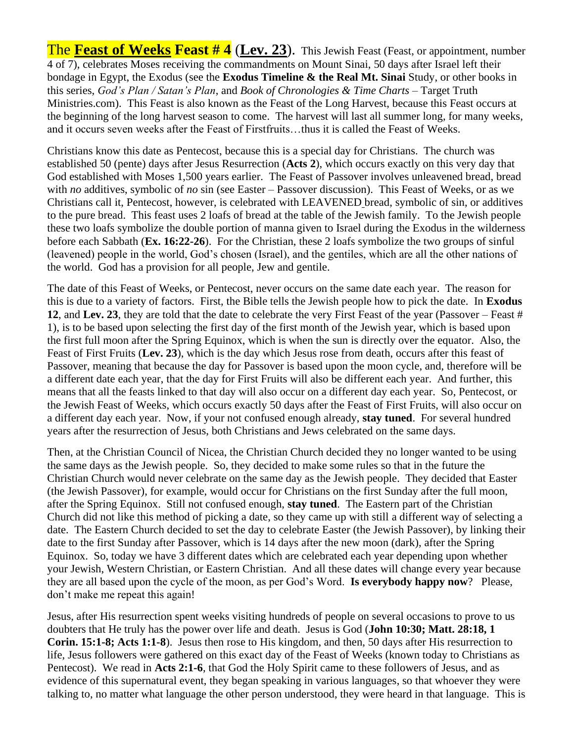The **Feast of Weeks Feast # 4** (**Lev. 23**). This Jewish Feast (Feast, or appointment, number 4 of 7), celebrates Moses receiving the commandments on Mount Sinai, 50 days after Israel left their bondage in Egypt, the Exodus (see the **Exodus Timeline & the Real Mt. Sinai** Study, or other books in this series, *God's Plan / Satan's Plan*, and *Book of Chronologies & Time Charts* – Target Truth Ministries.com). This Feast is also known as the Feast of the Long Harvest, because this Feast occurs at the beginning of the long harvest season to come. The harvest will last all summer long, for many weeks, and it occurs seven weeks after the Feast of Firstfruits…thus it is called the Feast of Weeks.

Christians know this date as Pentecost, because this is a special day for Christians. The church was established 50 (pente) days after Jesus Resurrection (**Acts 2**), which occurs exactly on this very day that God established with Moses 1,500 years earlier. The Feast of Passover involves unleavened bread, bread with *no* additives, symbolic of *no* sin (see Easter – Passover discussion). This Feast of Weeks, or as we Christians call it, Pentecost, however, is celebrated with LEAVENED bread, symbolic of sin, or additives to the pure bread. This feast uses 2 loafs of bread at the table of the Jewish family. To the Jewish people these two loafs symbolize the double portion of manna given to Israel during the Exodus in the wilderness before each Sabbath (**Ex. 16:22-26**). For the Christian, these 2 loafs symbolize the two groups of sinful (leavened) people in the world, God's chosen (Israel), and the gentiles, which are all the other nations of the world. God has a provision for all people, Jew and gentile.

The date of this Feast of Weeks, or Pentecost, never occurs on the same date each year. The reason for this is due to a variety of factors. First, the Bible tells the Jewish people how to pick the date. In **Exodus 12**, and **Lev. 23**, they are told that the date to celebrate the very First Feast of the year (Passover – Feast # 1), is to be based upon selecting the first day of the first month of the Jewish year, which is based upon the first full moon after the Spring Equinox, which is when the sun is directly over the equator. Also, the Feast of First Fruits (**Lev. 23**), which is the day which Jesus rose from death, occurs after this feast of Passover, meaning that because the day for Passover is based upon the moon cycle, and, therefore will be a different date each year, that the day for First Fruits will also be different each year. And further, this means that all the feasts linked to that day will also occur on a different day each year. So, Pentecost, or the Jewish Feast of Weeks, which occurs exactly 50 days after the Feast of First Fruits, will also occur on a different day each year. Now, if your not confused enough already, **stay tuned**. For several hundred years after the resurrection of Jesus, both Christians and Jews celebrated on the same days.

Then, at the Christian Council of Nicea, the Christian Church decided they no longer wanted to be using the same days as the Jewish people. So, they decided to make some rules so that in the future the Christian Church would never celebrate on the same day as the Jewish people. They decided that Easter (the Jewish Passover), for example, would occur for Christians on the first Sunday after the full moon, after the Spring Equinox. Still not confused enough, **stay tuned**. The Eastern part of the Christian Church did not like this method of picking a date, so they came up with still a different way of selecting a date. The Eastern Church decided to set the day to celebrate Easter (the Jewish Passover), by linking their date to the first Sunday after Passover, which is 14 days after the new moon (dark), after the Spring Equinox. So, today we have 3 different dates which are celebrated each year depending upon whether your Jewish, Western Christian, or Eastern Christian. And all these dates will change every year because they are all based upon the cycle of the moon, as per God's Word. **Is everybody happy now**? Please, don't make me repeat this again!

Jesus, after His resurrection spent weeks visiting hundreds of people on several occasions to prove to us doubters that He truly has the power over life and death. Jesus is God (**John 10:30; Matt. 28:18, 1 Corin. 15:1-8; Acts 1:1-8**). Jesus then rose to His kingdom, and then, 50 days after His resurrection to life, Jesus followers were gathered on this exact day of the Feast of Weeks (known today to Christians as Pentecost). We read in **Acts 2:1-6**, that God the Holy Spirit came to these followers of Jesus, and as evidence of this supernatural event, they began speaking in various languages, so that whoever they were talking to, no matter what language the other person understood, they were heard in that language. This is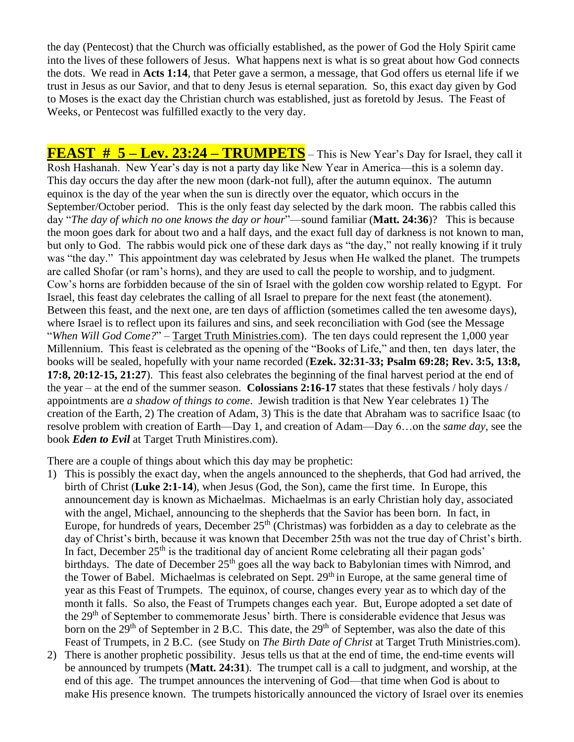the day (Pentecost) that the Church was officially established, as the power of God the Holy Spirit came into the lives of these followers of Jesus. What happens next is what is so great about how God connects the dots. We read in **Acts 1:14**, that Peter gave a sermon, a message, that God offers us eternal life if we trust in Jesus as our Savior, and that to deny Jesus is eternal separation. So, this exact day given by God to Moses is the exact day the Christian church was established, just as foretold by Jesus. The Feast of Weeks, or Pentecost was fulfilled exactly to the very day.

**FEAST # 5 – Lev. 23:24 – TRUMPETS** – This is New Year's Day for Israel, they call it Rosh Hashanah. New Year's day is not a party day like New Year in America—this is a solemn day. This day occurs the day after the new moon (dark-not full), after the autumn equinox. The autumn equinox is the day of the year when the sun is directly over the equator, which occurs in the September/October period. This is the only feast day selected by the dark moon. The rabbis called this day "*The day of which no one knows the day or hour*"—sound familiar (**Matt. 24:36**)? This is because the moon goes dark for about two and a half days, and the exact full day of darkness is not known to man, but only to God. The rabbis would pick one of these dark days as "the day," not really knowing if it truly was "the day." This appointment day was celebrated by Jesus when He walked the planet. The trumpets are called Shofar (or ram's horns), and they are used to call the people to worship, and to judgment. Cow's horns are forbidden because of the sin of Israel with the golden cow worship related to Egypt. For Israel, this feast day celebrates the calling of all Israel to prepare for the next feast (the atonement). Between this feast, and the next one, are ten days of affliction (sometimes called the ten awesome days), where Israel is to reflect upon its failures and sins, and seek reconciliation with God (see the Message "*When Will God Come?*" – Target Truth Ministries.com). The ten days could represent the 1,000 year Millennium. This feast is celebrated as the opening of the "Books of Life," and then, ten days later, the books will be sealed, hopefully with your name recorded (**Ezek. 32:31-33; Psalm 69:28; Rev. 3:5, 13:8, 17:8, 20:12-15, 21:27**). This feast also celebrates the beginning of the final harvest period at the end of the year – at the end of the summer season. **Colossians 2:16-17** states that these festivals / holy days / appointments are *a shadow of things to come*. Jewish tradition is that New Year celebrates 1) The creation of the Earth, 2) The creation of Adam, 3) This is the date that Abraham was to sacrifice Isaac (to resolve problem with creation of Earth—Day 1, and creation of Adam—Day 6…on the *same day*, see the book *Eden to Evil* at Target Truth Ministires.com).

There are a couple of things about which this day may be prophetic:

- 1) This is possibly the exact day, when the angels announced to the shepherds, that God had arrived, the birth of Christ (**Luke 2:1-14**), when Jesus (God, the Son), came the first time. In Europe, this announcement day is known as Michaelmas. Michaelmas is an early Christian holy day, associated with the angel, Michael, announcing to the shepherds that the Savior has been born. In fact, in Europe, for hundreds of years, December  $25<sup>th</sup>$  (Christmas) was forbidden as a day to celebrate as the day of Christ's birth, because it was known that December 25th was not the true day of Christ's birth. In fact, December  $25<sup>th</sup>$  is the traditional day of ancient Rome celebrating all their pagan gods' birthdays. The date of December 25<sup>th</sup> goes all the way back to Babylonian times with Nimrod, and the Tower of Babel. Michaelmas is celebrated on Sept. 29<sup>th</sup> in Europe, at the same general time of year as this Feast of Trumpets. The equinox, of course, changes every year as to which day of the month it falls. So also, the Feast of Trumpets changes each year. But, Europe adopted a set date of the 29th of September to commemorate Jesus' birth. There is considerable evidence that Jesus was born on the  $29<sup>th</sup>$  of September in 2 B.C. This date, the  $29<sup>th</sup>$  of September, was also the date of this Feast of Trumpets, in 2 B.C. (see Study on *The Birth Date of Christ* at Target Truth Ministries.com).
- 2) There is another prophetic possibility. Jesus tells us that at the end of time, the end-time events will be announced by trumpets (**Matt. 24:31**). The trumpet call is a call to judgment, and worship, at the end of this age. The trumpet announces the intervening of God—that time when God is about to make His presence known. The trumpets historically announced the victory of Israel over its enemies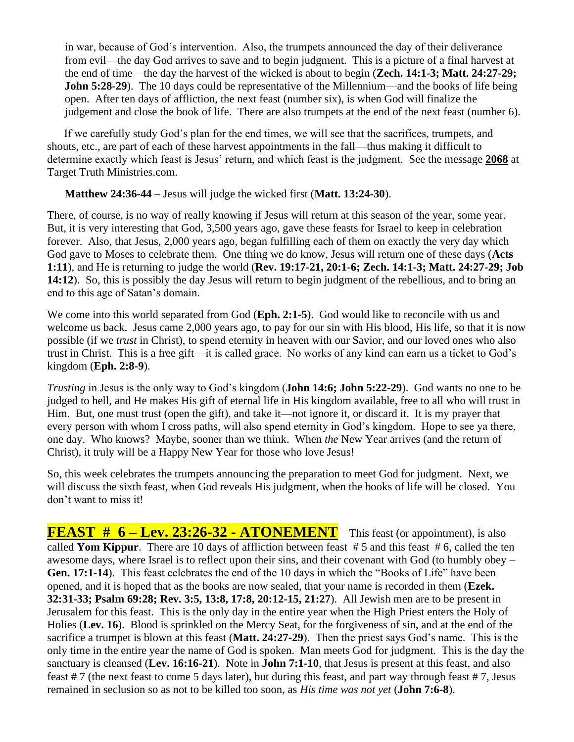in war, because of God's intervention. Also, the trumpets announced the day of their deliverance from evil—the day God arrives to save and to begin judgment. This is a picture of a final harvest at the end of time—the day the harvest of the wicked is about to begin (**Zech. 14:1-3; Matt. 24:27-29; John 5:28-29**). The 10 days could be representative of the Millennium—and the books of life being open. After ten days of affliction, the next feast (number six), is when God will finalize the judgement and close the book of life. There are also trumpets at the end of the next feast (number 6).

 If we carefully study God's plan for the end times, we will see that the sacrifices, trumpets, and shouts, etc., are part of each of these harvest appointments in the fall—thus making it difficult to determine exactly which feast is Jesus' return, and which feast is the judgment. See the message **2068** at Target Truth Ministries.com.

**Matthew 24:36-44** – Jesus will judge the wicked first (**Matt. 13:24-30**).

There, of course, is no way of really knowing if Jesus will return at this season of the year, some year. But, it is very interesting that God, 3,500 years ago, gave these feasts for Israel to keep in celebration forever. Also, that Jesus, 2,000 years ago, began fulfilling each of them on exactly the very day which God gave to Moses to celebrate them. One thing we do know, Jesus will return one of these days (**Acts 1:11**), and He is returning to judge the world (**Rev. 19:17-21, 20:1-6; Zech. 14:1-3; Matt. 24:27-29; Job 14:12**). So, this is possibly the day Jesus will return to begin judgment of the rebellious, and to bring an end to this age of Satan's domain.

We come into this world separated from God (**Eph. 2:1-5**). God would like to reconcile with us and welcome us back. Jesus came 2,000 years ago, to pay for our sin with His blood, His life, so that it is now possible (if we *trust* in Christ), to spend eternity in heaven with our Savior, and our loved ones who also trust in Christ. This is a free gift—it is called grace. No works of any kind can earn us a ticket to God's kingdom (**Eph. 2:8-9**).

*Trusting* in Jesus is the only way to God's kingdom (**John 14:6; John 5:22-29**). God wants no one to be judged to hell, and He makes His gift of eternal life in His kingdom available, free to all who will trust in Him. But, one must trust (open the gift), and take it—not ignore it, or discard it. It is my prayer that every person with whom I cross paths, will also spend eternity in God's kingdom. Hope to see ya there, one day. Who knows? Maybe, sooner than we think. When *the* New Year arrives (and the return of Christ), it truly will be a Happy New Year for those who love Jesus!

So, this week celebrates the trumpets announcing the preparation to meet God for judgment. Next, we will discuss the sixth feast, when God reveals His judgment, when the books of life will be closed. You don't want to miss it!

**FEAST # 6 – Lev. 23:26-32 - ATONEMENT** – This feast (or appointment), is also called **Yom Kippur**. There are 10 days of affliction between feast # 5 and this feast # 6, called the ten awesome days, where Israel is to reflect upon their sins, and their covenant with God (to humbly obey – **Gen. 17:1-14**). This feast celebrates the end of the 10 days in which the "Books of Life" have been opened, and it is hoped that as the books are now sealed, that your name is recorded in them (**Ezek. 32:31-33; Psalm 69:28; Rev. 3:5, 13:8, 17:8, 20:12-15, 21:27**). All Jewish men are to be present in Jerusalem for this feast. This is the only day in the entire year when the High Priest enters the Holy of Holies (**Lev. 16**). Blood is sprinkled on the Mercy Seat, for the forgiveness of sin, and at the end of the sacrifice a trumpet is blown at this feast (**Matt. 24:27-29**). Then the priest says God's name. This is the only time in the entire year the name of God is spoken. Man meets God for judgment. This is the day the sanctuary is cleansed (**Lev. 16:16-21**). Note in **John 7:1-10**, that Jesus is present at this feast, and also feast # 7 (the next feast to come 5 days later), but during this feast, and part way through feast # 7, Jesus remained in seclusion so as not to be killed too soon, as *His time was not yet* (**John 7:6-8**).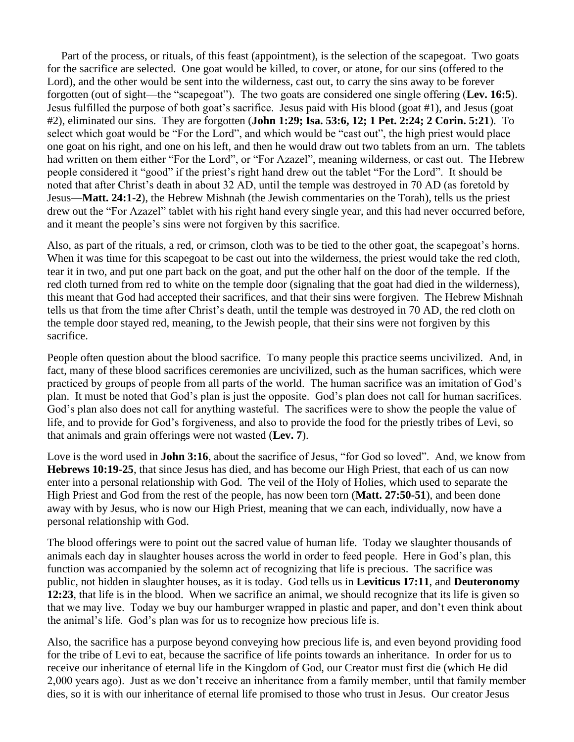Part of the process, or rituals, of this feast (appointment), is the selection of the scapegoat. Two goats for the sacrifice are selected. One goat would be killed, to cover, or atone, for our sins (offered to the Lord), and the other would be sent into the wilderness, cast out, to carry the sins away to be forever forgotten (out of sight—the "scapegoat"). The two goats are considered one single offering (**Lev. 16:5**). Jesus fulfilled the purpose of both goat's sacrifice. Jesus paid with His blood (goat #1), and Jesus (goat #2), eliminated our sins. They are forgotten (**John 1:29; Isa. 53:6, 12; 1 Pet. 2:24; 2 Corin. 5:21**). To select which goat would be "For the Lord", and which would be "cast out", the high priest would place one goat on his right, and one on his left, and then he would draw out two tablets from an urn. The tablets had written on them either "For the Lord", or "For Azazel", meaning wilderness, or cast out. The Hebrew people considered it "good" if the priest's right hand drew out the tablet "For the Lord". It should be noted that after Christ's death in about 32 AD, until the temple was destroyed in 70 AD (as foretold by Jesus—**Matt. 24:1-2**), the Hebrew Mishnah (the Jewish commentaries on the Torah), tells us the priest drew out the "For Azazel" tablet with his right hand every single year, and this had never occurred before, and it meant the people's sins were not forgiven by this sacrifice.

Also, as part of the rituals, a red, or crimson, cloth was to be tied to the other goat, the scapegoat's horns. When it was time for this scapegoat to be cast out into the wilderness, the priest would take the red cloth, tear it in two, and put one part back on the goat, and put the other half on the door of the temple. If the red cloth turned from red to white on the temple door (signaling that the goat had died in the wilderness), this meant that God had accepted their sacrifices, and that their sins were forgiven. The Hebrew Mishnah tells us that from the time after Christ's death, until the temple was destroyed in 70 AD, the red cloth on the temple door stayed red, meaning, to the Jewish people, that their sins were not forgiven by this sacrifice.

People often question about the blood sacrifice. To many people this practice seems uncivilized. And, in fact, many of these blood sacrifices ceremonies are uncivilized, such as the human sacrifices, which were practiced by groups of people from all parts of the world. The human sacrifice was an imitation of God's plan. It must be noted that God's plan is just the opposite. God's plan does not call for human sacrifices. God's plan also does not call for anything wasteful. The sacrifices were to show the people the value of life, and to provide for God's forgiveness, and also to provide the food for the priestly tribes of Levi, so that animals and grain offerings were not wasted (**Lev. 7**).

Love is the word used in **John 3:16**, about the sacrifice of Jesus, "for God so loved". And, we know from **Hebrews 10:19-25**, that since Jesus has died, and has become our High Priest, that each of us can now enter into a personal relationship with God. The veil of the Holy of Holies, which used to separate the High Priest and God from the rest of the people, has now been torn (**Matt. 27:50-51**), and been done away with by Jesus, who is now our High Priest, meaning that we can each, individually, now have a personal relationship with God.

The blood offerings were to point out the sacred value of human life. Today we slaughter thousands of animals each day in slaughter houses across the world in order to feed people. Here in God's plan, this function was accompanied by the solemn act of recognizing that life is precious. The sacrifice was public, not hidden in slaughter houses, as it is today. God tells us in **Leviticus 17:11**, and **Deuteronomy 12:23**, that life is in the blood. When we sacrifice an animal, we should recognize that its life is given so that we may live. Today we buy our hamburger wrapped in plastic and paper, and don't even think about the animal's life. God's plan was for us to recognize how precious life is.

Also, the sacrifice has a purpose beyond conveying how precious life is, and even beyond providing food for the tribe of Levi to eat, because the sacrifice of life points towards an inheritance. In order for us to receive our inheritance of eternal life in the Kingdom of God, our Creator must first die (which He did 2,000 years ago). Just as we don't receive an inheritance from a family member, until that family member dies, so it is with our inheritance of eternal life promised to those who trust in Jesus. Our creator Jesus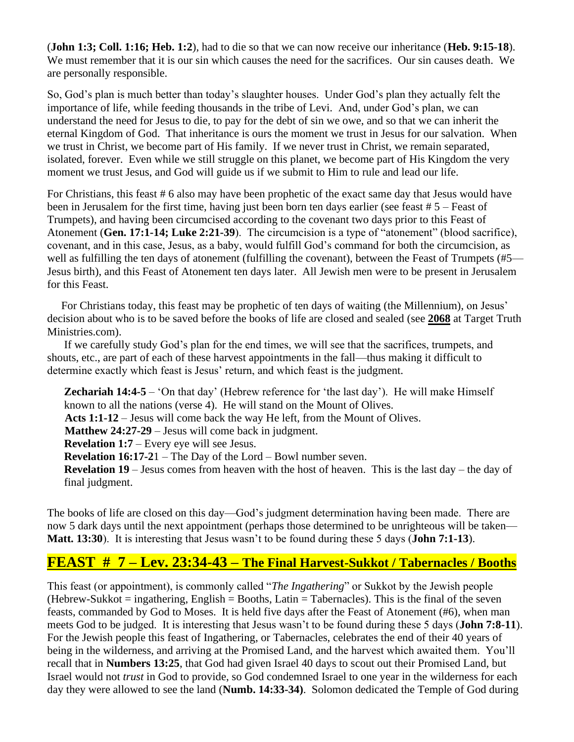(**John 1:3; Coll. 1:16; Heb. 1:2**), had to die so that we can now receive our inheritance (**Heb. 9:15-18**). We must remember that it is our sin which causes the need for the sacrifices. Our sin causes death. We are personally responsible.

So, God's plan is much better than today's slaughter houses. Under God's plan they actually felt the importance of life, while feeding thousands in the tribe of Levi. And, under God's plan, we can understand the need for Jesus to die, to pay for the debt of sin we owe, and so that we can inherit the eternal Kingdom of God. That inheritance is ours the moment we trust in Jesus for our salvation. When we trust in Christ, we become part of His family. If we never trust in Christ, we remain separated, isolated, forever. Even while we still struggle on this planet, we become part of His Kingdom the very moment we trust Jesus, and God will guide us if we submit to Him to rule and lead our life.

For Christians, this feast # 6 also may have been prophetic of the exact same day that Jesus would have been in Jerusalem for the first time, having just been born ten days earlier (see feast # 5 – Feast of Trumpets), and having been circumcised according to the covenant two days prior to this Feast of Atonement (**Gen. 17:1-14; Luke 2:21-39**). The circumcision is a type of "atonement" (blood sacrifice), covenant, and in this case, Jesus, as a baby, would fulfill God's command for both the circumcision, as well as fulfilling the ten days of atonement (fulfilling the covenant), between the Feast of Trumpets (#5— Jesus birth), and this Feast of Atonement ten days later. All Jewish men were to be present in Jerusalem for this Feast.

 For Christians today, this feast may be prophetic of ten days of waiting (the Millennium), on Jesus' decision about who is to be saved before the books of life are closed and sealed (see **2068** at Target Truth Ministries.com).

 If we carefully study God's plan for the end times, we will see that the sacrifices, trumpets, and shouts, etc., are part of each of these harvest appointments in the fall—thus making it difficult to determine exactly which feast is Jesus' return, and which feast is the judgment.

 **Zechariah 14:4-5** – 'On that day' (Hebrew reference for 'the last day'). He will make Himself known to all the nations (verse 4). He will stand on the Mount of Olives. **Acts 1:1-12** – Jesus will come back the way He left, from the Mount of Olives.

**Matthew 24:27-29** – Jesus will come back in judgment.

**Revelation 1:7** – Every eye will see Jesus.

**Revelation 16:17-2**1 – The Day of the Lord – Bowl number seven.

**Revelation 19** – Jesus comes from heaven with the host of heaven. This is the last day – the day of final judgment.

The books of life are closed on this day—God's judgment determination having been made. There are now 5 dark days until the next appointment (perhaps those determined to be unrighteous will be taken— **Matt. 13:30**). It is interesting that Jesus wasn't to be found during these 5 days (**John 7:1-13**).

#### **FEAST # 7 – Lev. 23:34-43 – The Final Harvest-Sukkot / Tabernacles / Booths**

This feast (or appointment), is commonly called "*The Ingathering*" or Sukkot by the Jewish people  $(Hebrew-Sukkot = ingathering, English = Booths, Latin = Tabernacles)$ . This is the final of the seven feasts, commanded by God to Moses. It is held five days after the Feast of Atonement (#6), when man meets God to be judged. It is interesting that Jesus wasn't to be found during these 5 days (**John 7:8-11**). For the Jewish people this feast of Ingathering, or Tabernacles, celebrates the end of their 40 years of being in the wilderness, and arriving at the Promised Land, and the harvest which awaited them. You'll recall that in **Numbers 13:25**, that God had given Israel 40 days to scout out their Promised Land, but Israel would not *trust* in God to provide, so God condemned Israel to one year in the wilderness for each day they were allowed to see the land (**Numb. 14:33-34)**. Solomon dedicated the Temple of God during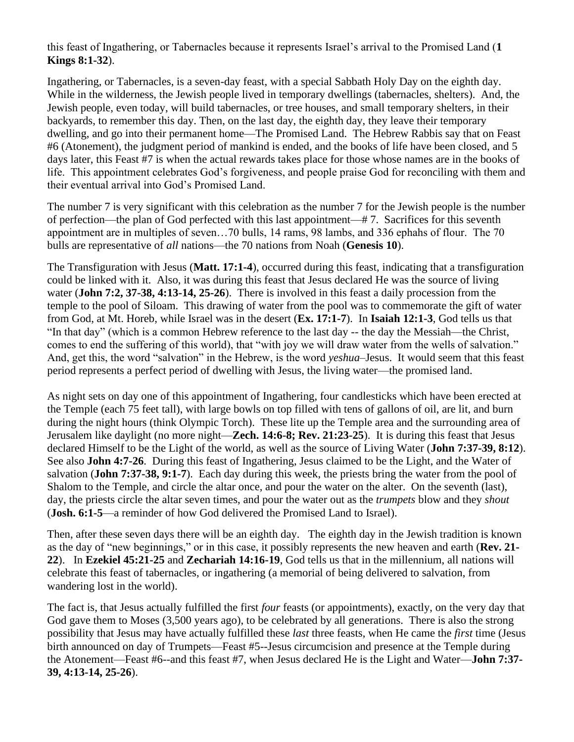this feast of Ingathering, or Tabernacles because it represents Israel's arrival to the Promised Land (**1 Kings 8:1-32**).

Ingathering, or Tabernacles, is a seven-day feast, with a special Sabbath Holy Day on the eighth day. While in the wilderness, the Jewish people lived in temporary dwellings (tabernacles, shelters). And, the Jewish people, even today, will build tabernacles, or tree houses, and small temporary shelters, in their backyards, to remember this day. Then, on the last day, the eighth day, they leave their temporary dwelling, and go into their permanent home—The Promised Land. The Hebrew Rabbis say that on Feast #6 (Atonement), the judgment period of mankind is ended, and the books of life have been closed, and 5 days later, this Feast #7 is when the actual rewards takes place for those whose names are in the books of life. This appointment celebrates God's forgiveness, and people praise God for reconciling with them and their eventual arrival into God's Promised Land.

The number 7 is very significant with this celebration as the number 7 for the Jewish people is the number of perfection—the plan of God perfected with this last appointment—# 7. Sacrifices for this seventh appointment are in multiples of seven…70 bulls, 14 rams, 98 lambs, and 336 ephahs of flour. The 70 bulls are representative of *all* nations—the 70 nations from Noah (**Genesis 10**).

The Transfiguration with Jesus (**Matt. 17:1-4**), occurred during this feast, indicating that a transfiguration could be linked with it. Also, it was during this feast that Jesus declared He was the source of living water (**John 7:2, 37-38, 4:13-14, 25-26**). There is involved in this feast a daily procession from the temple to the pool of Siloam. This drawing of water from the pool was to commemorate the gift of water from God, at Mt. Horeb, while Israel was in the desert (**Ex. 17:1-7**). In **Isaiah 12:1-3**, God tells us that "In that day" (which is a common Hebrew reference to the last day -- the day the Messiah—the Christ, comes to end the suffering of this world), that "with joy we will draw water from the wells of salvation." And, get this, the word "salvation" in the Hebrew, is the word *yeshua*–Jesus. It would seem that this feast period represents a perfect period of dwelling with Jesus, the living water—the promised land.

As night sets on day one of this appointment of Ingathering, four candlesticks which have been erected at the Temple (each 75 feet tall), with large bowls on top filled with tens of gallons of oil, are lit, and burn during the night hours (think Olympic Torch). These lite up the Temple area and the surrounding area of Jerusalem like daylight (no more night—**Zech. 14:6-8; Rev. 21:23-25**). It is during this feast that Jesus declared Himself to be the Light of the world, as well as the source of Living Water (**John 7:37-39, 8:12**). See also **John 4:7-26**. During this feast of Ingathering, Jesus claimed to be the Light, and the Water of salvation (**John 7:37-38, 9:1-7**). Each day during this week, the priests bring the water from the pool of Shalom to the Temple, and circle the altar once, and pour the water on the alter. On the seventh (last), day, the priests circle the altar seven times, and pour the water out as the *trumpets* blow and they *shout* (**Josh. 6:1-5**—a reminder of how God delivered the Promised Land to Israel).

Then, after these seven days there will be an eighth day. The eighth day in the Jewish tradition is known as the day of "new beginnings," or in this case, it possibly represents the new heaven and earth (**Rev. 21- 22**). In **Ezekiel 45:21-25** and **Zechariah 14:16-19**, God tells us that in the millennium, all nations will celebrate this feast of tabernacles, or ingathering (a memorial of being delivered to salvation, from wandering lost in the world).

The fact is, that Jesus actually fulfilled the first *four* feasts (or appointments), exactly, on the very day that God gave them to Moses (3,500 years ago), to be celebrated by all generations. There is also the strong possibility that Jesus may have actually fulfilled these *last* three feasts, when He came the *first* time (Jesus birth announced on day of Trumpets—Feast #5--Jesus circumcision and presence at the Temple during the Atonement—Feast #6--and this feast #7, when Jesus declared He is the Light and Water—**John 7:37- 39, 4:13-14, 25-26**).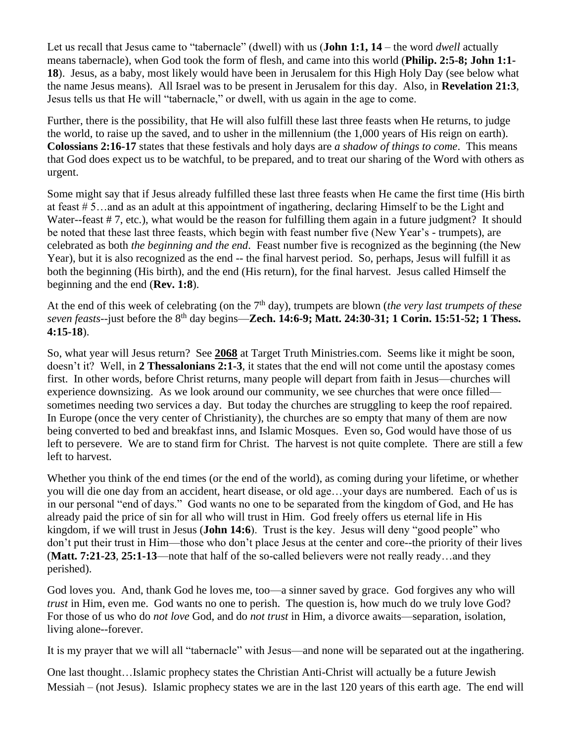Let us recall that Jesus came to "tabernacle" (dwell) with us (**John 1:1, 14** – the word *dwell* actually means tabernacle), when God took the form of flesh, and came into this world (**Philip. 2:5-8; John 1:1- 18**). Jesus, as a baby, most likely would have been in Jerusalem for this High Holy Day (see below what the name Jesus means). All Israel was to be present in Jerusalem for this day. Also, in **Revelation 21:3**, Jesus tells us that He will "tabernacle," or dwell, with us again in the age to come.

Further, there is the possibility, that He will also fulfill these last three feasts when He returns, to judge the world, to raise up the saved, and to usher in the millennium (the 1,000 years of His reign on earth). **Colossians 2:16-17** states that these festivals and holy days are *a shadow of things to come*. This means that God does expect us to be watchful, to be prepared, and to treat our sharing of the Word with others as urgent.

Some might say that if Jesus already fulfilled these last three feasts when He came the first time (His birth at feast # 5…and as an adult at this appointment of ingathering, declaring Himself to be the Light and Water--feast # 7, etc.), what would be the reason for fulfilling them again in a future judgment? It should be noted that these last three feasts, which begin with feast number five (New Year's - trumpets), are celebrated as both *the beginning and the end*. Feast number five is recognized as the beginning (the New Year), but it is also recognized as the end -- the final harvest period. So, perhaps, Jesus will fulfill it as both the beginning (His birth), and the end (His return), for the final harvest. Jesus called Himself the beginning and the end (**Rev. 1:8**).

At the end of this week of celebrating (on the 7<sup>th</sup> day), trumpets are blown (*the very last trumpets of these seven feasts*--just before the 8th day begins—**Zech. 14:6-9; Matt. 24:30-31; 1 Corin. 15:51-52; 1 Thess. 4:15-18**).

So, what year will Jesus return? See **2068** at Target Truth Ministries.com. Seems like it might be soon, doesn't it? Well, in **2 Thessalonians 2:1-3**, it states that the end will not come until the apostasy comes first. In other words, before Christ returns, many people will depart from faith in Jesus—churches will experience downsizing. As we look around our community, we see churches that were once filled sometimes needing two services a day. But today the churches are struggling to keep the roof repaired. In Europe (once the very center of Christianity), the churches are so empty that many of them are now being converted to bed and breakfast inns, and Islamic Mosques. Even so, God would have those of us left to persevere. We are to stand firm for Christ. The harvest is not quite complete. There are still a few left to harvest.

Whether you think of the end times (or the end of the world), as coming during your lifetime, or whether you will die one day from an accident, heart disease, or old age…your days are numbered. Each of us is in our personal "end of days." God wants no one to be separated from the kingdom of God, and He has already paid the price of sin for all who will trust in Him. God freely offers us eternal life in His kingdom, if we will trust in Jesus (**John 14:6**). Trust is the key. Jesus will deny "good people" who don't put their trust in Him—those who don't place Jesus at the center and core--the priority of their lives (**Matt. 7:21-23**, **25:1-13**—note that half of the so-called believers were not really ready…and they perished).

God loves you. And, thank God he loves me, too—a sinner saved by grace. God forgives any who will *trust* in Him, even me. God wants no one to perish. The question is, how much do we truly love God? For those of us who do *not love* God, and do *not trust* in Him, a divorce awaits—separation, isolation, living alone--forever.

It is my prayer that we will all "tabernacle" with Jesus—and none will be separated out at the ingathering.

One last thought…Islamic prophecy states the Christian Anti-Christ will actually be a future Jewish Messiah – (not Jesus). Islamic prophecy states we are in the last 120 years of this earth age. The end will